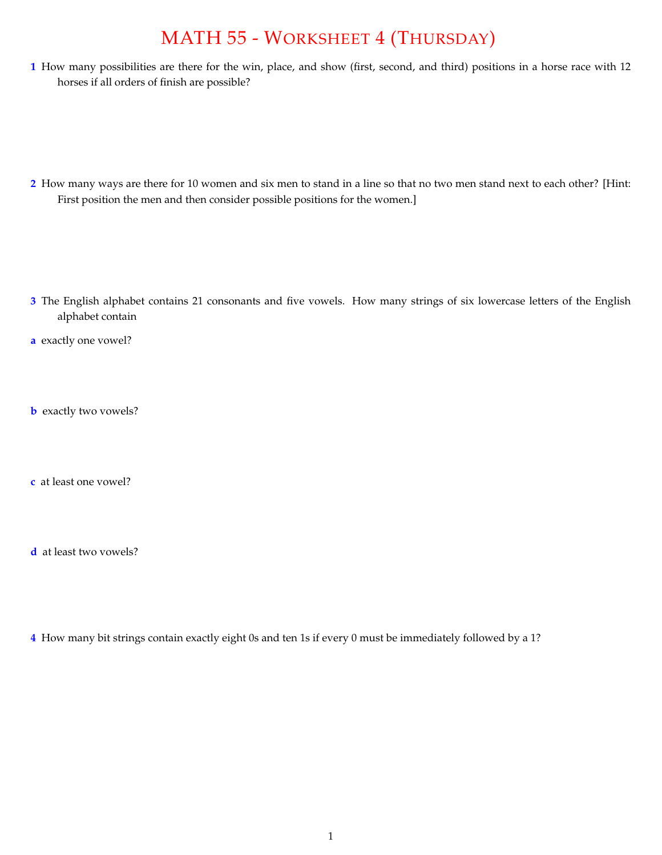## MATH 55 - WORKSHEET 4 (THURSDAY)

**1** How many possibilities are there for the win, place, and show (first, second, and third) positions in a horse race with 12 horses if all orders of finish are possible?

**2** How many ways are there for 10 women and six men to stand in a line so that no two men stand next to each other? [Hint: First position the men and then consider possible positions for the women.]

- **3** The English alphabet contains 21 consonants and five vowels. How many strings of six lowercase letters of the English alphabet contain
- **a** exactly one vowel?
- **b** exactly two vowels?
- **c** at least one vowel?
- **d** at least two vowels?
- **4** How many bit strings contain exactly eight 0s and ten 1s if every 0 must be immediately followed by a 1?